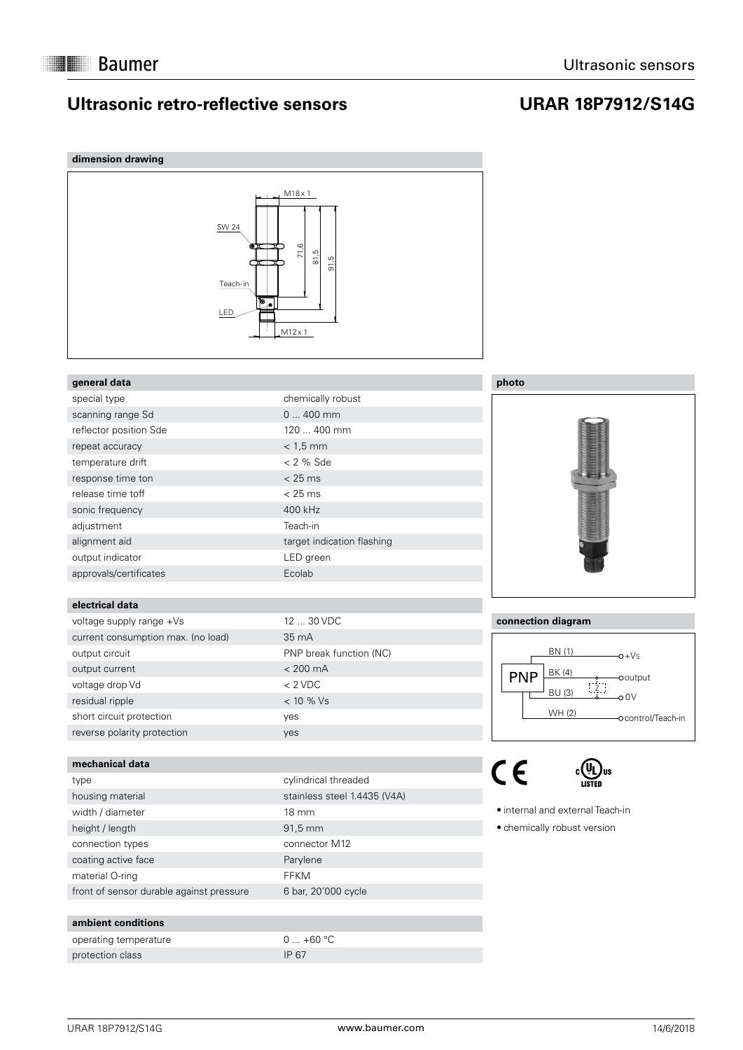### **Ultrasonic retro-reflective sensors**

### **URAR 18P7912/S14G**

| dimension drawing                              |                                                                                                    |               |
|------------------------------------------------|----------------------------------------------------------------------------------------------------|---------------|
| SW 24<br>OΤ<br>Teach-in<br>$\mathbf{e}$<br>LED | $M18 \times 1$<br>71,6<br>rö<br>மி<br>$\overleftarrow{\infty}$<br>$\overline{5}$<br>$M12 \times 1$ |               |
| general data                                   |                                                                                                    | photo         |
| special type                                   | chemically robust                                                                                  |               |
| scanning range Sd                              | $0400$ mm                                                                                          |               |
| reflector position Sde                         | 120  400 mm                                                                                        |               |
| repeat accuracy                                | $< 1.5$ mm                                                                                         |               |
| temperature drift                              | $< 2$ % Sde                                                                                        |               |
| response time ton                              | < 25 ms                                                                                            |               |
| release time toff                              | $< 25$ ms                                                                                          |               |
| sonic frequency                                | 400 kHz                                                                                            |               |
| adjustment                                     | Teach-in                                                                                           |               |
| alignment aid                                  | target indication flashing                                                                         |               |
| output indicator                               | LED green                                                                                          |               |
| approvals/certificates                         | Ecolab                                                                                             |               |
|                                                |                                                                                                    |               |
| electrical data                                |                                                                                                    |               |
| voltage supply range +Vs                       | 12  30 VDC                                                                                         | connection    |
| current consumption max. (no load)             | 35 mA                                                                                              |               |
| output circuit                                 | PNP break function (NC)                                                                            |               |
| output current                                 | $< 200$ mA                                                                                         | <b>PNF</b>    |
| voltage drop Vd                                | $< 2$ VDC                                                                                          |               |
| residual ripple                                | < 10 % Vs                                                                                          |               |
| short circuit protection                       | yes                                                                                                |               |
| reverse polarity protection                    | yes                                                                                                |               |
| mechanical data                                |                                                                                                    |               |
| type                                           | cylindrical threaded                                                                               | CE            |
|                                                | stainless steel 1.4435 (V4A)                                                                       |               |
| housing material<br>width / diameter           | 18 mm                                                                                              | • internal ar |
| height / length                                | 91,5 mm                                                                                            | · chemically  |
| connection types                               | connector M12                                                                                      |               |
| coating active face                            | Parylene                                                                                           |               |
| material O-ring                                | <b>FFKM</b>                                                                                        |               |
| front of sensor durable against pressure       | 6 bar, 20'000 cycle                                                                                |               |
|                                                |                                                                                                    |               |



#### **connection diagram**



COD<sub>US</sub>

nd external Teach-in

v robust version

**ambient conditions**

operating temperature 0 ... +60 °C protection class IP 67